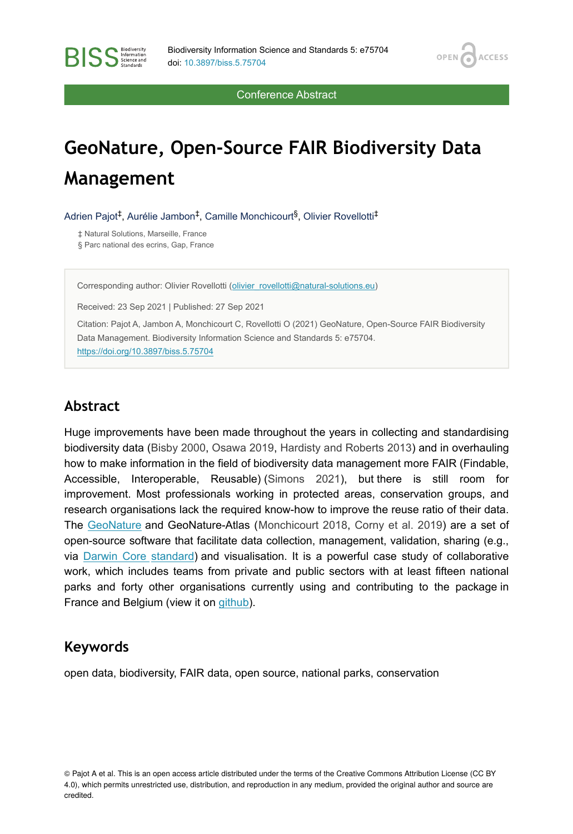OPEN<sub>6</sub>

**ACCESS** 

Conference Abstract

# **GeoNature, Open-Source FAIR Biodiversity Data Management**

Adrien Pajot<sup>‡</sup>, Aurélie Jambon<sup>‡</sup>, Camille Monchicourt<sup>§</sup>, Olivier Rovellotti<sup>‡</sup>

‡ Natural Solutions, Marseille, France § Parc national des ecrins, Gap, France

**BISS** Steince and

Corresponding author: Olivier Rovellotti [\(olivier\\_rovellotti@natural-solutions.eu\)](mailto:olivier_rovellotti@natural-solutions.eu)

Received: 23 Sep 2021 | Published: 27 Sep 2021

Citation: Pajot A, Jambon A, Monchicourt C, Rovellotti O (2021) GeoNature, Open-Source FAIR Biodiversity Data Management. Biodiversity Information Science and Standards 5: e75704. <https://doi.org/10.3897/biss.5.75704>

#### **Abstract**

Huge improvements have been made throughout the years in collecting and standardising biodiversity data [\(Bisby 2000,](#page-1-0) [Osawa 2019,](#page-1-1) [Hardisty and Roberts 2013\)](#page-1-2) and in overhauling how to make information in the field of biodiversity data management more FAIR (Findable, Accessible, Interoperable, Reusable) [\(Simons 2021\)](#page-1-3), but there is still room for improvement. Most professionals working in protected areas, conservation groups, and research organisations lack the required know-how to improve the reuse ratio of their data. The [GeoNature](https://geonature.fr/) and GeoNature-Atlas ([Monchicourt 2018](#page-1-4), [Corny et al. 2019\)](#page-1-5) are a set of open-source software that facilitate data collection, management, validation, sharing (e.g., via [Darwin Core](https://www.tdwg.org/standards/dwc/) [standard](https://www.tdwg.org/standards/dwc/)) and visualisation. It is a powerful case study of collaborative work, which includes teams from private and public sectors with at least fifteen national parks and forty other organisations currently using and contributing to the package in France and Belgium (view it on [github](https://github.com/PnX-SI/GeoNature)).

#### **Keywords**

open data, biodiversity, FAIR data, open source, national parks, conservation

© Pajot A et al. This is an open access article distributed under the terms of the Creative Commons Attribution License (CC BY 4.0), which permits unrestricted use, distribution, and reproduction in any medium, provided the original author and source are credited.